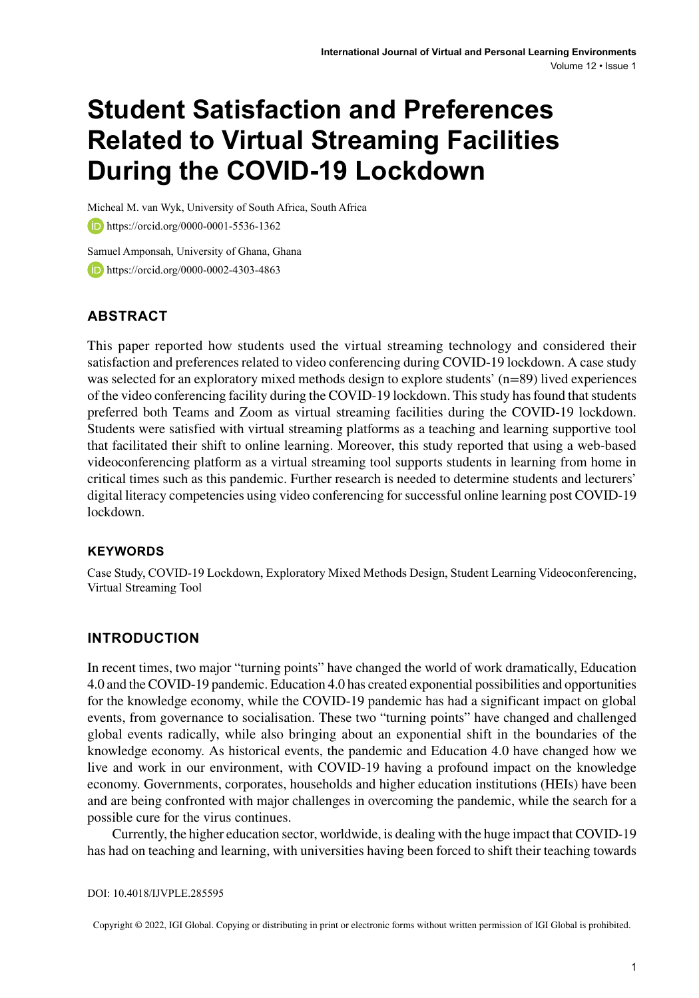# **Student Satisfaction and Preferences Related to Virtual Streaming Facilities During the COVID-19 Lockdown**

Micheal M. van Wyk, University of South Africa, South Africa **b** https://orcid.org/0000-0001-5536-1362

Samuel Amponsah, University of Ghana, Ghana **https://orcid.org/0000-0002-4303-4863** 

# **ABSTRACT**

This paper reported how students used the virtual streaming technology and considered their satisfaction and preferences related to video conferencing during COVID-19 lockdown. A case study was selected for an exploratory mixed methods design to explore students' (n=89) lived experiences of the video conferencing facility during the COVID-19 lockdown. Thisstudy hasfound thatstudents preferred both Teams and Zoom as virtual streaming facilities during the COVID-19 lockdown. Students were satisfied with virtual streaming platforms as a teaching and learning supportive tool that facilitated their shift to online learning. Moreover, this study reported that using a web-based videoconferencing platform as a virtual streaming tool supports students in learning from home in critical times such as this pandemic. Further research is needed to determine students and lecturers' digital literacy competencies using video conferencing forsuccessful online learning post COVID-19 lockdown.

### **Keywords**

Case Study, COVID-19 Lockdown, Exploratory Mixed Methods Design, Student Learning Videoconferencing, Virtual Streaming Tool

## **INTRODUCTION**

In recent times, two major "turning points" have changed the world of work dramatically, Education 4.0 and the COVID-19 pandemic. Education 4.0 has created exponential possibilities and opportunities for the knowledge economy, while the COVID-19 pandemic has had a significant impact on global events, from governance to socialisation. These two "turning points" have changed and challenged global events radically, while also bringing about an exponential shift in the boundaries of the knowledge economy. As historical events, the pandemic and Education 4.0 have changed how we live and work in our environment, with COVID-19 having a profound impact on the knowledge economy. Governments, corporates, households and higher education institutions (HEIs) have been and are being confronted with major challenges in overcoming the pandemic, while the search for a possible cure for the virus continues.

Currently, the higher education sector, worldwide, is dealing with the huge impact that COVID-19 has had on teaching and learning, with universities having been forced to shift their teaching towards

DOI: 10.4018/IJVPLE.285595

Copyright © 2022, IGI Global. Copying or distributing in print or electronic forms without written permission of IGI Global is prohibited.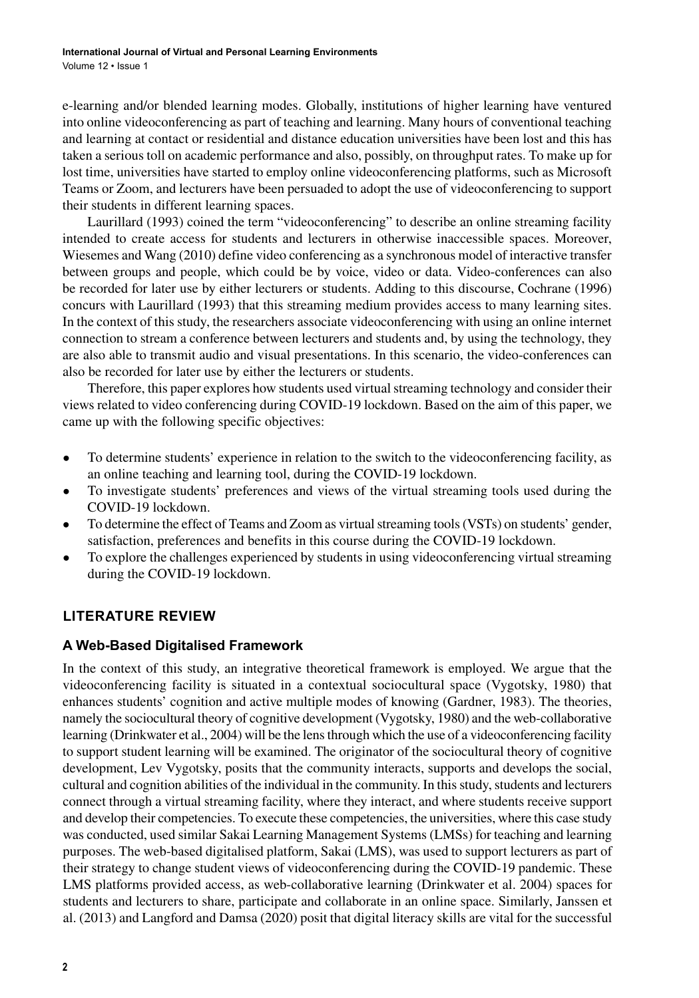e-learning and/or blended learning modes. Globally, institutions of higher learning have ventured into online videoconferencing as part of teaching and learning. Many hours of conventional teaching and learning at contact or residential and distance education universities have been lost and this has taken a serious toll on academic performance and also, possibly, on throughput rates. To make up for lost time, universities have started to employ online videoconferencing platforms, such as Microsoft Teams or Zoom, and lecturers have been persuaded to adopt the use of videoconferencing to support their students in different learning spaces.

Laurillard (1993) coined the term "videoconferencing" to describe an online streaming facility intended to create access for students and lecturers in otherwise inaccessible spaces. Moreover, Wiesemes and Wang (2010) define video conferencing as a synchronous model of interactive transfer between groups and people, which could be by voice, video or data. Video-conferences can also be recorded for later use by either lecturers or students. Adding to this discourse, Cochrane (1996) concurs with Laurillard (1993) that this streaming medium provides access to many learning sites. In the context of this study, the researchers associate videoconferencing with using an online internet connection to stream a conference between lecturers and students and, by using the technology, they are also able to transmit audio and visual presentations. In this scenario, the video-conferences can also be recorded for later use by either the lecturers or students.

Therefore, this paper explores how students used virtual streaming technology and consider their views related to video conferencing during COVID-19 lockdown. Based on the aim of this paper, we came up with the following specific objectives:

- To determine students' experience in relation to the switch to the videoconferencing facility, as an online teaching and learning tool, during the COVID-19 lockdown.
- To investigate students' preferences and views of the virtual streaming tools used during the COVID-19 lockdown.
- To determine the effect of Teams and Zoom as virtual streaming tools (VSTs) on students' gender, satisfaction, preferences and benefits in this course during the COVID-19 lockdown.
- To explore the challenges experienced by students in using videoconferencing virtual streaming during the COVID-19 lockdown.

# **LITERATURE REVIEW**

## **A Web-Based Digitalised Framework**

In the context of this study, an integrative theoretical framework is employed. We argue that the videoconferencing facility is situated in a contextual sociocultural space (Vygotsky, 1980) that enhances students' cognition and active multiple modes of knowing (Gardner, 1983). The theories, namely the sociocultural theory of cognitive development (Vygotsky, 1980) and the web-collaborative learning (Drinkwater et al., 2004) will be the lens through which the use of a videoconferencing facility to support student learning will be examined. The originator of the sociocultural theory of cognitive development, Lev Vygotsky, posits that the community interacts, supports and develops the social, cultural and cognition abilities of the individual in the community. In this study, students and lecturers connect through a virtual streaming facility, where they interact, and where students receive support and develop their competencies. To execute these competencies, the universities, where this case study was conducted, used similar Sakai Learning Management Systems (LMSs) for teaching and learning purposes. The web-based digitalised platform, Sakai (LMS), was used to support lecturers as part of their strategy to change student views of videoconferencing during the COVID-19 pandemic. These LMS platforms provided access, as web-collaborative learning (Drinkwater et al. 2004) spaces for students and lecturers to share, participate and collaborate in an online space. Similarly, Janssen et al. (2013) and Langford and Damsa (2020) posit that digital literacy skills are vital for the successful